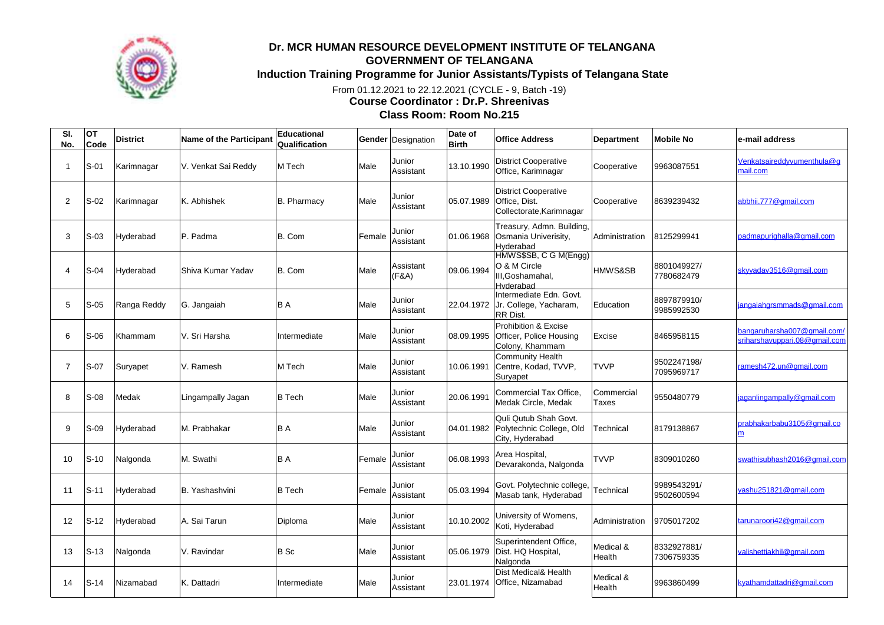

## **Dr. MCR HUMAN RESOURCE DEVELOPMENT INSTITUTE OF TELANGANA GOVERNMENT OF TELANGANA Induction Training Programme for Junior Assistants/Typists of Telangana State**

From 01.12.2021 to 22.12.2021 (CYCLE - 9, Batch -19)

**Course Coordinator : Dr.P. Shreenivas**

## **Class Room: Room No.215**

| SI.<br>No.     | OT<br>Code | <b>District</b> | Name of the Participant | Educational<br>Qualification |        | <b>Gender</b> Designation | Date of<br><b>Birth</b> | <b>Office Address</b>                                                    | <b>Department</b>   | <b>Mobile No</b>          | e-mail address                                               |
|----------------|------------|-----------------|-------------------------|------------------------------|--------|---------------------------|-------------------------|--------------------------------------------------------------------------|---------------------|---------------------------|--------------------------------------------------------------|
| $\overline{1}$ | S-01       | Karimnagar      | V. Venkat Sai Reddy     | M Tech                       | Male   | Junior<br>Assistant       | 13.10.1990              | <b>District Cooperative</b><br>Office, Karimnagar                        | Cooperative         | 9963087551                | Venkatsaireddyvumenthula@g<br>mail.com                       |
| $\overline{2}$ | $S-02$     | Karimnagar      | K. Abhishek             | <b>B.</b> Pharmacy           | Male   | Junior<br>Assistant       | 05.07.1989              | <b>District Cooperative</b><br>Office, Dist.<br>Collectorate, Karimnagar | Cooperative         | 8639239432                | abbhii.777@gmail.com                                         |
| 3              | $S-03$     | Hyderabad       | P. Padma                | B. Com                       | Female | Junior<br>Assistant       | 01.06.1968              | Treasury, Admn. Building,<br>Osmania Univerisity,<br>Hyderabad           | Administration      | 8125299941                | padmapurighalla@gmail.com                                    |
| 4              | S-04       | Hyderabad       | Shiva Kumar Yadav       | B. Com                       | Male   | Assistant<br>(F&A)        | 09.06.1994              | HMWS\$SB, C G M(Engg)<br>O & M Circle<br>III, Goshamahal,<br>Hyderabad   | HMWS&SB             | 8801049927/<br>7780682479 | skyyadav3516@gmail.com                                       |
| 5              | S-05       | Ranga Reddy     | G. Jangaiah             | B A                          | Male   | Junior<br>Assistant       | 22.04.1972              | Intermediate Edn. Govt.<br>Jr. College, Yacharam,<br>RR Dist.            | Education           | 8897879910/<br>9985992530 | iangaiahgrsmmads@gmail.com                                   |
| 6              | $S-06$     | Khammam         | V. Sri Harsha           | Intermediate                 | Male   | Junior<br>Assistant       | 08.09.1995              | Prohibition & Excise<br>Officer, Police Housing<br>Colony, Khammam       | Excise              | 8465958115                | bangaruharsha007@gmail.com/<br>sriharshavuppari.08@gmail.com |
| $\overline{7}$ | $S-07$     | Suryapet        | V. Ramesh               | M Tech                       | Male   | Junior<br>Assistant       | 10.06.1991              | <b>Community Health</b><br>Centre, Kodad, TVVP,<br>Suryapet              | <b>TVVP</b>         | 9502247198/<br>7095969717 | ramesh472.un@gmail.com                                       |
| 8              | $S-08$     | Medak           | Lingampally Jagan       | <b>B</b> Tech                | Male   | Junior<br>Assistant       | 20.06.1991              | Commercial Tax Office.<br>Medak Circle, Medak                            | Commercial<br>Taxes | 9550480779                | iaganlingampally@gmail.com                                   |
| 9              | S-09       | Hyderabad       | M. Prabhakar            | B A                          | Male   | Junior<br>Assistant       | 04.01.1982              | Quli Qutub Shah Govt.<br>Polytechnic College, Old<br>City. Hyderabad     | Technical           | 8179138867                | prabhakarbabu3105@gmail.co                                   |
| 10             | $S-10$     | Nalgonda        | M. Swathi               | B A                          | Female | Junior<br>Assistant       | 06.08.1993              | Area Hospital,<br>Devarakonda, Nalgonda                                  | <b>TVVP</b>         | 8309010260                | swathisubhash2016@gmail.com                                  |
| 11             | $S-11$     | Hyderabad       | B. Yashashvini          | <b>B</b> Tech                | Female | Junior<br>Assistant       | 05.03.1994              | Govt. Polytechnic college,<br>Masab tank, Hyderabad                      | <b>Technical</b>    | 9989543291/<br>9502600594 | yashu251821@gmail.com                                        |
| 12             | S-12       | Hyderabad       | IA. Sai Tarun           | Diploma                      | Male   | Junior<br>Assistant       | 10.10.2002              | University of Womens,<br>Koti, Hyderabad                                 | Administration      | 9705017202                | tarunaroori42@gmail.com                                      |
| 13             | $S-13$     | Nalgonda        | V. Ravindar             | <b>B</b> Sc                  | Male   | Junior<br>Assistant       | 05.06.1979              | Superintendent Office,<br>Dist. HQ Hospital,<br>Nalgonda                 | Medical &<br>Health | 8332927881/<br>7306759335 | valishettiakhil@gmail.com                                    |
| 14             | $S-14$     | Nizamabad       | K. Dattadri             | Intermediate                 | Male   | Junior<br>Assistant       | 23.01.1974              | Dist Medical& Health<br>Office, Nizamabad                                | Medical &<br>Health | 9963860499                | kvathamdattadri@gmail.com                                    |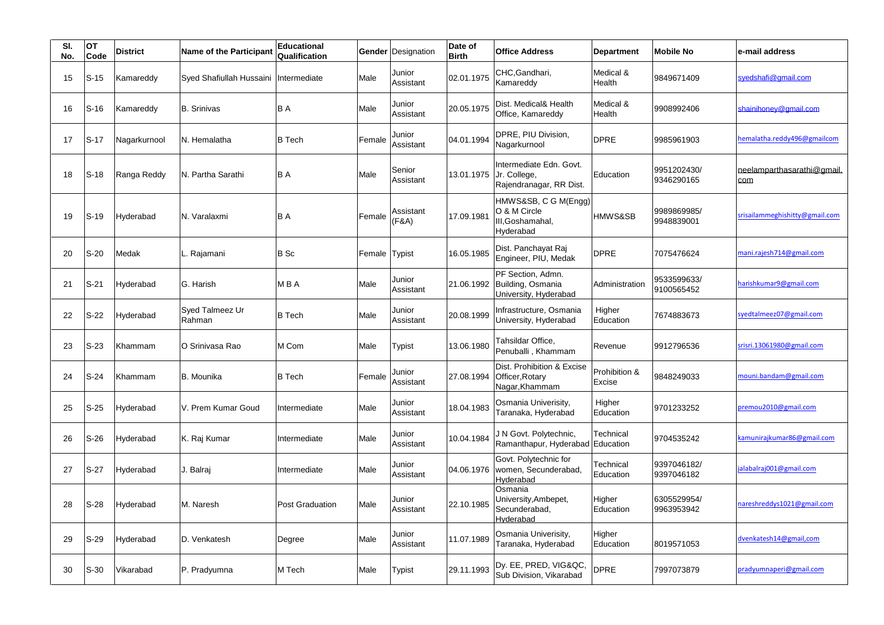| SI.<br>No. | <b>OT</b><br>Code | <b>District</b> | <b>Name of the Participant</b> | <b>Educational</b><br>Qualification |               | <b>Gender</b> Designation | Date of<br><b>Birth</b> | <b>Office Address</b>                                                    | Department              | <b>Mobile No</b>          | e-mail address                    |
|------------|-------------------|-----------------|--------------------------------|-------------------------------------|---------------|---------------------------|-------------------------|--------------------------------------------------------------------------|-------------------------|---------------------------|-----------------------------------|
| 15         | $S-15$            | Kamareddy       | Syed Shafiullah Hussaini       | Intermediate                        | Male          | Junior<br>Assistant       | 02.01.1975              | CHC, Gandhari,<br>Kamareddy                                              | Medical &<br>Health     | 9849671409                | syedshafi@gmail.com               |
| 16         | $S-16$            | Kamareddy       | <b>B.</b> Srinivas             | B A                                 | Male          | Junior<br>Assistant       | 20.05.1975              | Dist. Medical& Health<br>Office, Kamareddy                               | Medical &<br>Health     | 9908992406                | shainihoney@gmail.com             |
| 17         | $S-17$            | Nagarkurnool    | N. Hemalatha                   | <b>B</b> Tech                       | Female        | Junior<br>Assistant       | 04.01.1994              | DPRE, PIU Division,<br>Nagarkurnool                                      | <b>DPRE</b>             | 9985961903                | hemalatha.reddy496@gmailcom       |
| 18         | $S-18$            | Ranga Reddy     | N. Partha Sarathi              | B A                                 | Male          | Senior<br>Assistant       | 13.01.1975              | Intermediate Edn. Govt.<br>Jr. College,<br>Rajendranagar, RR Dist.       | Education               | 9951202430/<br>9346290165 | neelamparthasarathi@gmail.<br>com |
| 19         | $S-19$            | Hyderabad       | N. Varalaxmi                   | B A                                 | Female        | Assistant<br>(F&A)        | 17.09.1981              | HMWS&SB, C G M(Engg)<br>O & M Circle<br>III, Goshamahal,<br>Hyderabad    | HMWS&SB                 | 9989869985/<br>9948839001 | srisailammeghishitty@gmail.com    |
| 20         | $S-20$            | Medak           | Rajamani                       | <b>B</b> Sc                         | Female Typist |                           | 16.05.1985              | Dist. Panchayat Raj<br>Engineer, PIU, Medak                              | <b>DPRE</b>             | 7075476624                | mani.rajesh714@gmail.com          |
| 21         | $S-21$            | Hyderabad       | G. Harish                      | M B A                               | Male          | Junior<br>Assistant       | 21.06.1992              | PF Section, Admn.<br>Building, Osmania<br>University, Hyderabad          | Administration          | 9533599633/<br>9100565452 | harishkumar9@gmail.com            |
| 22         | $S-22$            | Hyderabad       | Syed Talmeez Ur<br>Rahman      | <b>B</b> Tech                       | Male          | Junior<br>Assistant       | 20.08.1999              | nfrastructure, Osmania<br>University, Hyderabad                          | Higher<br>Education     | 7674883673                | syedtalmeez07@gmail.com           |
| 23         | $S-23$            | Khammam         | O Srinivasa Rao                | M Com                               | Male          | Typist                    | 13.06.1980              | Tahsildar Office.<br>Penuballi, Khammam                                  | Revenue                 | 9912796536                | srisri.13061980@gmail.com         |
| 24         | $S-24$            | Khammam         | B. Mounika                     | <b>B</b> Tech                       | Female        | Junior<br>Assistant       | 27.08.1994              | Dist. Prohibition & Excise<br>Officer, Rotary<br>Nagar, Khammam          | Prohibition &<br>Excise | 9848249033                | mouni.bandam@gmail.com            |
| 25         | $S-25$            | Hyderabad       | V. Prem Kumar Goud             | Intermediate                        | Male          | Junior<br>Assistant       | 18.04.1983              | Osmania Univerisity,<br>Taranaka, Hyderabad                              | Higher<br>Education     | 9701233252                | premou2010@gmail.com              |
| 26         | $S-26$            | Hyderabad       | K. Raj Kumar                   | Intermediate                        | Male          | Junior<br>Assistant       | 10.04.1984              | J N Govt. Polytechnic,<br>Ramanthapur, Hyderabad Education               | Technical               | 9704535242                | kamunirajkumar86@gmail.com        |
| 27         | $S-27$            | Hyderabad       | . Balraj                       | Intermediate                        | Male          | Junior<br>Assistant       | 04.06.1976              | Govt. Polytechnic for<br>women, Secunderabad,<br>Hyderabad               | Technical<br>Education  | 9397046182/<br>9397046182 | jalabalraj001@gmail.com           |
| 28         | $S-28$            | Hyderabad       | M. Naresh                      | <b>Post Graduation</b>              | Male          | Junior<br>Assistant       |                         | Osmania<br>22.10.1985 University, Ambepet,<br>Secunderabad,<br>Hyderabad | Higher<br>Education     | 6305529954/<br>9963953942 | nareshreddys1021@gmail.com        |
| 29         | $S-29$            | Hyderabad       | D. Venkatesh                   | Degree                              | Male          | Junior<br>Assistant       | 11.07.1989              | Osmania Univerisity,<br>Taranaka, Hyderabad                              | Higher<br>Education     | 8019571053                | dvenkatesh14@gmail.com            |
| 30         | $S-30$            | Vikarabad       | P. Pradyumna                   | M Tech                              | Male          | <b>Typist</b>             | 29.11.1993              | Dy. EE, PRED, VIG&QC,<br>Sub Division, Vikarabad                         | <b>DPRE</b>             | 7997073879                | pradyumnaperi@gmail.com           |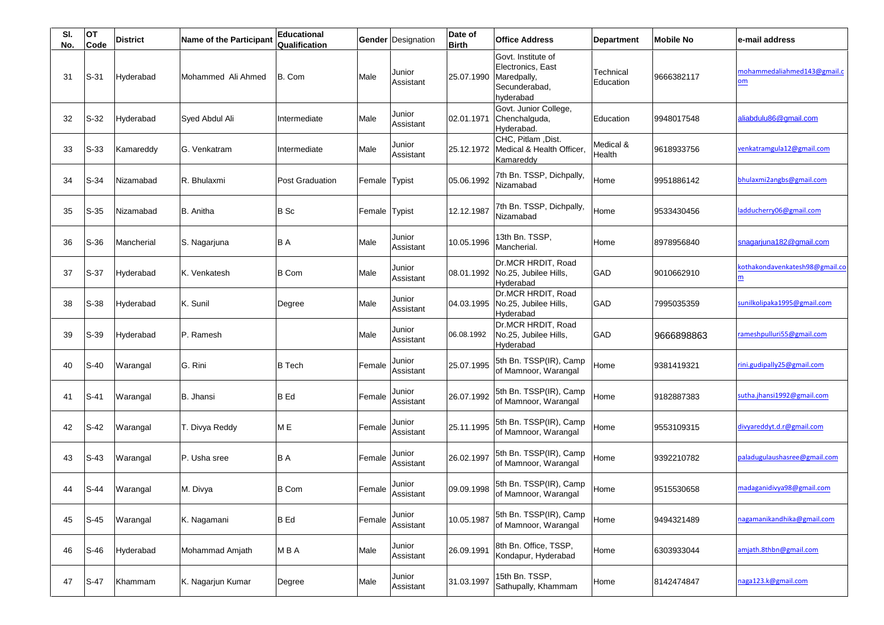| SI.<br>No. | <b>OT</b><br>Code | <b>District</b> | Name of the Participant | <b>Educational</b><br>Qualification |               | <b>Gender</b> Designation | Date of<br><b>Birth</b> | <b>Office Address</b>                                                                | <b>Department</b>      | <b>Mobile No</b> | e-mail address                    |
|------------|-------------------|-----------------|-------------------------|-------------------------------------|---------------|---------------------------|-------------------------|--------------------------------------------------------------------------------------|------------------------|------------------|-----------------------------------|
| 31         | $S-31$            | Hyderabad       | Mohammed Ali Ahmed      | B. Com                              | Male          | Junior<br>Assistant       | 25.07.1990              | Govt. Institute of<br>Electronics, East<br>Maredpally,<br>Secunderabad,<br>hyderabad | Technical<br>Education | 9666382117       | mohammedaliahmed143@gmail.c<br>om |
| 32         | $S-32$            | Hyderabad       | Syed Abdul Ali          | Intermediate                        | Male          | Junior<br>Assistant       | 02.01.1971              | Govt. Junior College,<br>Chenchalguda,<br>Hyderabad.                                 | Education              | 9948017548       | aliabdulu86@gmail.com             |
| 33         | $S-33$            | Kamareddy       | G. Venkatram            | Intermediate                        | Male          | Junior<br>Assistant       | 25.12.1972              | CHC, Pitlam , Dist.<br>Medical & Health Officer,<br>Kamareddy                        | Medical &<br>Health    | 9618933756       | venkatramgula12@gmail.com         |
| 34         | $S-34$            | Nizamabad       | R. Bhulaxmi             | <b>Post Graduation</b>              | Female Typist |                           | 05.06.1992              | 7th Bn. TSSP, Dichpally,<br>Nizamabad                                                | Home                   | 9951886142       | bhulaxmi2angbs@gmail.com          |
| 35         | $S-35$            | Nizamabad       | <b>B.</b> Anitha        | B Sc                                | Female Typist |                           | 12.12.1987              | 7th Bn. TSSP, Dichpally,<br>Nizamabad                                                | Home                   | 9533430456       | adducherry06@gmail.com            |
| 36         | $S-36$            | Mancherial      | S. Nagarjuna            | B A                                 | Male          | Junior<br>Assistant       | 10.05.1996              | 13th Bn. TSSP,<br>Mancherial.                                                        | Home                   | 8978956840       | snagarjuna 182@gmail.com          |
| 37         | $S-37$            | Hyderabad       | K. Venkatesh            | <b>B</b> Com                        | Male          | Junior<br>Assistant       |                         | Dr.MCR HRDIT, Road<br>08.01.1992 No.25, Jubilee Hills,<br>Hyderabad                  | GAD                    | 9010662910       | cothakondavenkatesh98@gmail.co    |
| 38         | $S-38$            | Hyderabad       | K. Sunil                | Degree                              | Male          | Junior<br>Assistant       | 04.03.1995              | Dr.MCR HRDIT, Road<br>No.25, Jubilee Hills,<br>Hyderabad                             | GAD                    | 7995035359       | unilkolipaka1995@gmail.com        |
| 39         | S-39              | Hyderabad       | P. Ramesh               |                                     | Male          | Junior<br>Assistant       | 06.08.1992              | Dr.MCR HRDIT, Road<br>No.25, Jubilee Hills,<br>Hyderabad                             | GAD                    | 9666898863       | rameshpulluri55@gmail.com         |
| 40         | $S-40$            | Warangal        | G. Rini                 | <b>B</b> Tech                       | Female        | Junior<br>Assistant       | 25.07.1995              | 5th Bn. TSSP(IR), Camp<br>of Mamnoor, Warangal                                       | Home                   | 9381419321       | rini.gudipally25@gmail.com        |
| 41         | $S-41$            | Warangal        | B. Jhansi               | <b>B</b> Ed                         | Female        | Junior<br>Assistant       | 26.07.1992              | 5th Bn. TSSP(IR), Camp<br>of Mamnoor, Warangal                                       | Home                   | 9182887383       | utha.jhansi1992@gmail.com         |
| 42         | $S-42$            | Warangal        | T. Divya Reddy          | МE                                  | Female        | Junior<br>Assistant       | 25.11.1995              | 5th Bn. TSSP(IR), Camp<br>of Mamnoor, Warangal                                       | Home                   | 9553109315       | divyareddyt.d.r@gmail.com         |
| 43         | $S-43$            | Warangal        | P. Usha sree            | <b>BA</b>                           | Female        | Junior<br>Assistant       | 26.02.1997              | 5th Bn. TSSP(IR), Camp<br>of Mamnoor, Warangal                                       | Home                   | 9392210782       | paladugulaushasree@gmail.com      |
| 44         | $S-44$            | Warangal        | M. Divya                | <b>B</b> Com                        | Female        | Junior<br>Assistant       | 09.09.1998              | 5th Bn. TSSP(IR), Camp<br>of Mamnoor, Warangal                                       | Home                   | 9515530658       | madaganidivya98@gmail.com         |
| 45         | $S-45$            | Warangal        | K. Nagamani             | <b>B</b> Ed                         | Female        | Junior<br>Assistant       | 10.05.1987              | 5th Bn. TSSP(IR), Camp<br>of Mamnoor, Warangal                                       | Home                   | 9494321489       | nagamanikandhika@gmail.com        |
| 46         | $S-46$            | Hyderabad       | Mohammad Amjath         | <b>MBA</b>                          | Male          | Junior<br>Assistant       | 26.09.1991              | 8th Bn. Office, TSSP,<br>Kondapur, Hyderabad                                         | Home                   | 6303933044       | amjath.8thbn@gmail.com            |
| 47         | $S-47$            | Khammam         | K. Nagarjun Kumar       | Degree                              | Male          | Junior<br>Assistant       | 31.03.1997              | 15th Bn. TSSP,<br>Sathupally, Khammam                                                | Home                   | 8142474847       | naga123.k@gmail.com               |